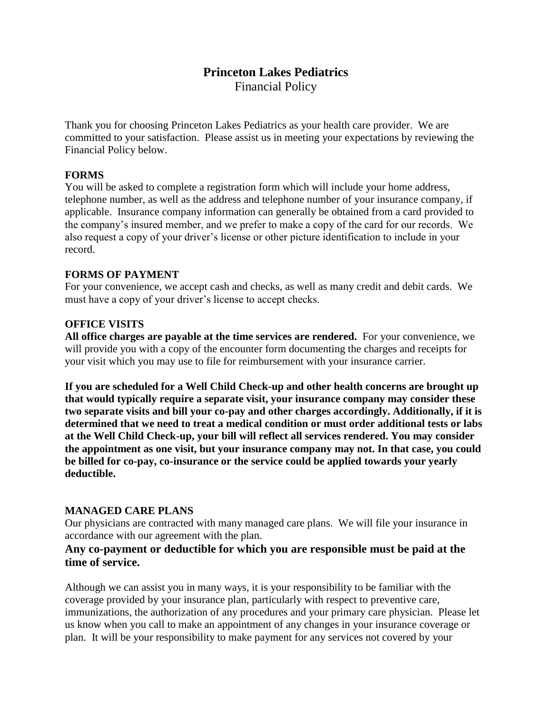# **Princeton Lakes Pediatrics** Financial Policy

Thank you for choosing Princeton Lakes Pediatrics as your health care provider. We are committed to your satisfaction. Please assist us in meeting your expectations by reviewing the Financial Policy below.

#### **FORMS**

You will be asked to complete a registration form which will include your home address, telephone number, as well as the address and telephone number of your insurance company, if applicable. Insurance company information can generally be obtained from a card provided to the company's insured member, and we prefer to make a copy of the card for our records. We also request a copy of your driver's license or other picture identification to include in your record.

#### **FORMS OF PAYMENT**

For your convenience, we accept cash and checks, as well as many credit and debit cards. We must have a copy of your driver's license to accept checks.

#### **OFFICE VISITS**

**All office charges are payable at the time services are rendered.** For your convenience, we will provide you with a copy of the encounter form documenting the charges and receipts for your visit which you may use to file for reimbursement with your insurance carrier.

**If you are scheduled for a Well Child Check-up and other health concerns are brought up that would typically require a separate visit, your insurance company may consider these two separate visits and bill your co-pay and other charges accordingly. Additionally, if it is determined that we need to treat a medical condition or must order additional tests or labs at the Well Child Check-up, your bill will reflect all services rendered. You may consider the appointment as one visit, but your insurance company may not. In that case, you could be billed for co-pay, co-insurance or the service could be applied towards your yearly deductible.**

#### **MANAGED CARE PLANS**

Our physicians are contracted with many managed care plans. We will file your insurance in accordance with our agreement with the plan.

### **Any co-payment or deductible for which you are responsible must be paid at the time of service.**

Although we can assist you in many ways, it is your responsibility to be familiar with the coverage provided by your insurance plan, particularly with respect to preventive care, immunizations, the authorization of any procedures and your primary care physician. Please let us know when you call to make an appointment of any changes in your insurance coverage or plan. It will be your responsibility to make payment for any services not covered by your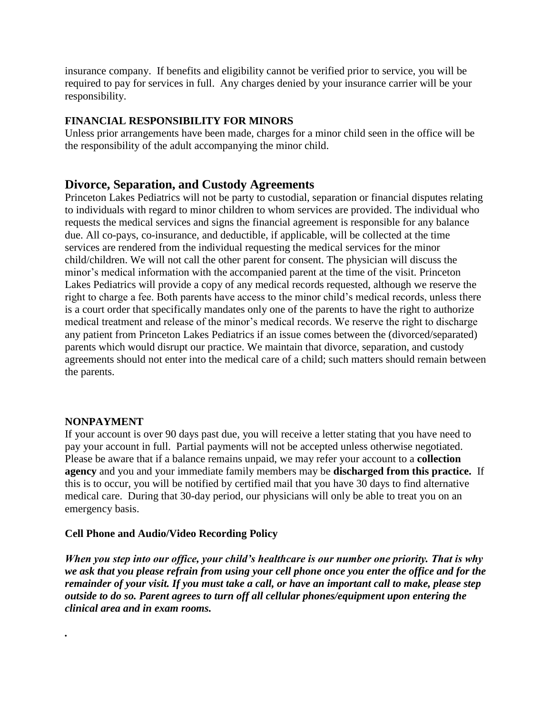insurance company. If benefits and eligibility cannot be verified prior to service, you will be required to pay for services in full. Any charges denied by your insurance carrier will be your responsibility.

#### **FINANCIAL RESPONSIBILITY FOR MINORS**

Unless prior arrangements have been made, charges for a minor child seen in the office will be the responsibility of the adult accompanying the minor child.

# **Divorce, Separation, and Custody Agreements**

Princeton Lakes Pediatrics will not be party to custodial, separation or financial disputes relating to individuals with regard to minor children to whom services are provided. The individual who requests the medical services and signs the financial agreement is responsible for any balance due. All co-pays, co-insurance, and deductible, if applicable, will be collected at the time services are rendered from the individual requesting the medical services for the minor child/children. We will not call the other parent for consent. The physician will discuss the minor's medical information with the accompanied parent at the time of the visit. Princeton Lakes Pediatrics will provide a copy of any medical records requested, although we reserve the right to charge a fee. Both parents have access to the minor child's medical records, unless there is a court order that specifically mandates only one of the parents to have the right to authorize medical treatment and release of the minor's medical records. We reserve the right to discharge any patient from Princeton Lakes Pediatrics if an issue comes between the (divorced/separated) parents which would disrupt our practice. We maintain that divorce, separation, and custody agreements should not enter into the medical care of a child; such matters should remain between the parents.

### **NONPAYMENT**

*.* 

If your account is over 90 days past due, you will receive a letter stating that you have need to pay your account in full. Partial payments will not be accepted unless otherwise negotiated. Please be aware that if a balance remains unpaid, we may refer your account to a **collection agency** and you and your immediate family members may be **discharged from this practice.** If this is to occur, you will be notified by certified mail that you have 30 days to find alternative medical care. During that 30-day period, our physicians will only be able to treat you on an emergency basis.

#### **Cell Phone and Audio/Video Recording Policy**

*When you step into our office, your child's healthcare is our number one priority. That is why we ask that you please refrain from using your cell phone once you enter the office and for the remainder of your visit. If you must take a call, or have an important call to make, please step outside to do so. Parent agrees to turn off all cellular phones/equipment upon entering the clinical area and in exam rooms.*